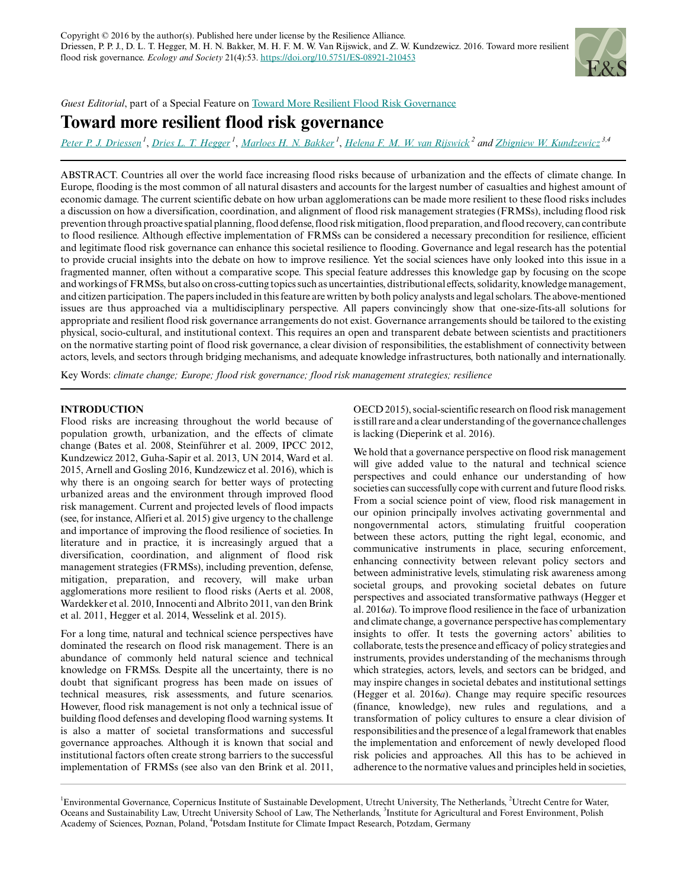

## *Guest Editorial*, part of a Special Feature on [Toward More Resilient Flood Risk Governance](http://www.ecologyandsociety.org/viewissue.php?sf=115)

# **Toward more resilient flood risk governance**

*[Peter P. J. Driessen](mailto:p.driessen@uu.nl)<sup>1</sup>* , *[Dries L. T. Hegger](mailto:d.l.t.hegger@uu.nl)<sup>1</sup>* , *[Marloes H. N. Bakker](mailto:bakkerm@lifetime.oregonstate.edu)<sup>1</sup>* , *[Helena F. M. W. van Rijswick](mailto:H.vanRijswick@uu.nl)<sup>2</sup> and [Zbigniew W. Kundzewicz](mailto:kundzewicz@yahoo.com) 3,4*

ABSTRACT. Countries all over the world face increasing flood risks because of urbanization and the effects of climate change. In Europe, flooding is the most common of all natural disasters and accounts for the largest number of casualties and highest amount of economic damage. The current scientific debate on how urban agglomerations can be made more resilient to these flood risks includes a discussion on how a diversification, coordination, and alignment of flood risk management strategies (FRMSs), including flood risk prevention through proactive spatial planning, flood defense, flood risk mitigation, flood preparation, and flood recovery, can contribute to flood resilience. Although effective implementation of FRMSs can be considered a necessary precondition for resilience, efficient and legitimate flood risk governance can enhance this societal resilience to flooding. Governance and legal research has the potential to provide crucial insights into the debate on how to improve resilience. Yet the social sciences have only looked into this issue in a fragmented manner, often without a comparative scope. This special feature addresses this knowledge gap by focusing on the scope and workings of FRMSs, but also on cross-cutting topics such as uncertainties, distributional effects, solidarity, knowledge management, and citizen participation. The papers included in this feature are written by both policy analysts and legal scholars. The above-mentioned issues are thus approached via a multidisciplinary perspective. All papers convincingly show that one-size-fits-all solutions for appropriate and resilient flood risk governance arrangements do not exist. Governance arrangements should be tailored to the existing physical, socio-cultural, and institutional context. This requires an open and transparent debate between scientists and practitioners on the normative starting point of flood risk governance, a clear division of responsibilities, the establishment of connectivity between actors, levels, and sectors through bridging mechanisms, and adequate knowledge infrastructures, both nationally and internationally.

Key Words: *climate change; Europe; flood risk governance; flood risk management strategies; resilience*

# **INTRODUCTION**

Flood risks are increasing throughout the world because of population growth, urbanization, and the effects of climate change (Bates et al. 2008, Steinführer et al. 2009, IPCC 2012, Kundzewicz 2012, Guha-Sapir et al. 2013, UN 2014, Ward et al. 2015, Arnell and Gosling 2016, Kundzewicz et al. 2016), which is why there is an ongoing search for better ways of protecting urbanized areas and the environment through improved flood risk management. Current and projected levels of flood impacts (see, for instance, Alfieri et al. 2015) give urgency to the challenge and importance of improving the flood resilience of societies. In literature and in practice, it is increasingly argued that a diversification, coordination, and alignment of flood risk management strategies (FRMSs), including prevention, defense, mitigation, preparation, and recovery, will make urban agglomerations more resilient to flood risks (Aerts et al. 2008, Wardekker et al. 2010, Innocenti and Albrito 2011, van den Brink et al. 2011, Hegger et al. 2014, Wesselink et al. 2015).

For a long time, natural and technical science perspectives have dominated the research on flood risk management. There is an abundance of commonly held natural science and technical knowledge on FRMSs. Despite all the uncertainty, there is no doubt that significant progress has been made on issues of technical measures, risk assessments, and future scenarios. However, flood risk management is not only a technical issue of building flood defenses and developing flood warning systems. It is also a matter of societal transformations and successful governance approaches. Although it is known that social and institutional factors often create strong barriers to the successful implementation of FRMSs (see also van den Brink et al. 2011,

OECD 2015), social-scientific research on flood risk management is still rare and a clear understanding of the governance challenges is lacking (Dieperink et al. 2016).

We hold that a governance perspective on flood risk management will give added value to the natural and technical science perspectives and could enhance our understanding of how societies can successfully cope with current and future flood risks. From a social science point of view, flood risk management in our opinion principally involves activating governmental and nongovernmental actors, stimulating fruitful cooperation between these actors, putting the right legal, economic, and communicative instruments in place, securing enforcement, enhancing connectivity between relevant policy sectors and between administrative levels, stimulating risk awareness among societal groups, and provoking societal debates on future perspectives and associated transformative pathways (Hegger et al. 2016*a*). To improve flood resilience in the face of urbanization and climate change, a governance perspective has complementary insights to offer. It tests the governing actors' abilities to collaborate, tests the presence and efficacy of policy strategies and instruments, provides understanding of the mechanisms through which strategies, actors, levels, and sectors can be bridged, and may inspire changes in societal debates and institutional settings (Hegger et al. 2016*a*). Change may require specific resources (finance, knowledge), new rules and regulations, and a transformation of policy cultures to ensure a clear division of responsibilities and the presence of a legal framework that enables the implementation and enforcement of newly developed flood risk policies and approaches. All this has to be achieved in adherence to the normative values and principles held in societies,

<sup>&</sup>lt;sup>1</sup>Environmental Governance, Copernicus Institute of Sustainable Development, Utrecht University, The Netherlands, <sup>2</sup>Utrecht Centre for Water, Oceans and Sustainability Law, Utrecht University School of Law, The Netherlands, <sup>3</sup>Institute for Agricultural and Forest Environment, Polish Academy of Sciences, Poznan, Poland, <sup>4</sup> Potsdam Institute for Climate Impact Research, Potzdam, Germany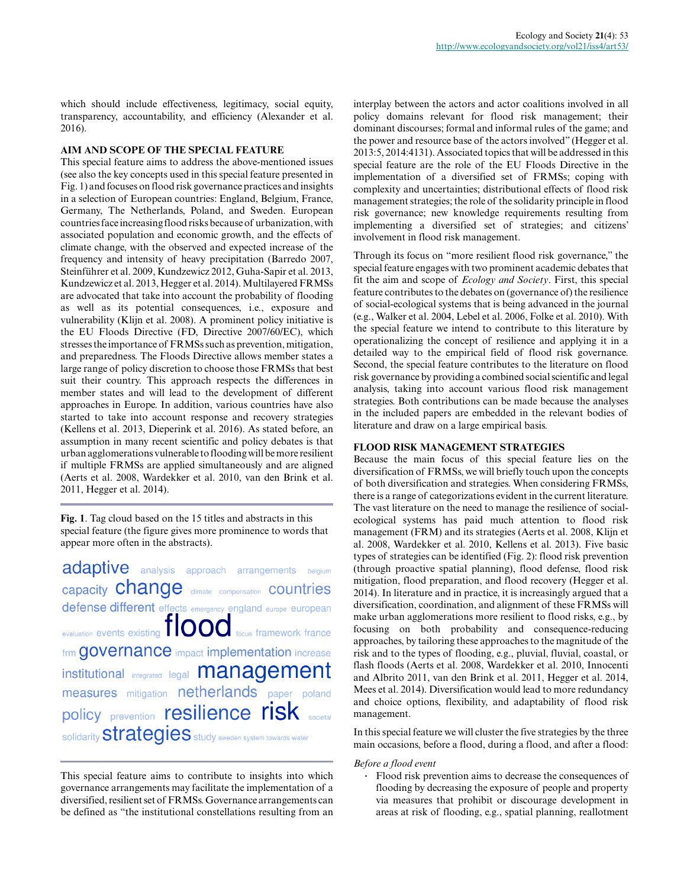which should include effectiveness, legitimacy, social equity, transparency, accountability, and efficiency (Alexander et al. 2016).

### **AIM AND SCOPE OF THE SPECIAL FEATURE**

This special feature aims to address the above-mentioned issues (see also the key concepts used in this special feature presented in Fig. 1) and focuses on flood risk governance practices and insights in a selection of European countries: England, Belgium, France, Germany, The Netherlands, Poland, and Sweden. European countries face increasing flood risks because of urbanization, with associated population and economic growth, and the effects of climate change, with the observed and expected increase of the frequency and intensity of heavy precipitation (Barredo 2007, Steinführer et al. 2009, Kundzewicz 2012, Guha-Sapir et al. 2013, Kundzewicz et al. 2013, Hegger et al. 2014). Multilayered FRMSs are advocated that take into account the probability of flooding as well as its potential consequences, i.e., exposure and vulnerability (Klijn et al. 2008). A prominent policy initiative is the EU Floods Directive (FD, Directive 2007/60/EC), which stresses the importance of FRMSs such as prevention, mitigation, and preparedness. The Floods Directive allows member states a large range of policy discretion to choose those FRMSs that best suit their country. This approach respects the differences in member states and will lead to the development of different approaches in Europe. In addition, various countries have also started to take into account response and recovery strategies (Kellens et al. 2013, Dieperink et al. 2016). As stated before, an assumption in many recent scientific and policy debates is that urban agglomerations vulnerable to flooding will be more resilient if multiple FRMSs are applied simultaneously and are aligned (Aerts et al. 2008, Wardekker et al. 2010, van den Brink et al. 2011, Hegger et al. 2014).

**Fig. 1**. Tag cloud based on the 15 titles and abstracts in this special feature (the figure gives more prominence to words that appear more often in the abstracts).

adaptive analysis approach arrangements belgium capacity **change** climate compensation **countries** defense different effects emergency england europe european<br>evaluation events existing  $\operatorname{flood}$  focus framework france frm **GOVETNANCE** impact implementation increase institutional integrated legal management measures mitigation netherlands paper poland policy prevention resilience risk societal solidarity **Strategies** study sweden system towards water

This special feature aims to contribute to insights into which governance arrangements may facilitate the implementation of a diversified, resilient set of FRMSs. Governance arrangements can be defined as "the institutional constellations resulting from an interplay between the actors and actor coalitions involved in all policy domains relevant for flood risk management; their dominant discourses; formal and informal rules of the game; and the power and resource base of the actors involved" (Hegger et al. 2013:5, 2014:4131). Associated topics that will be addressed in this special feature are the role of the EU Floods Directive in the implementation of a diversified set of FRMSs; coping with complexity and uncertainties; distributional effects of flood risk management strategies; the role of the solidarity principle in flood risk governance; new knowledge requirements resulting from implementing a diversified set of strategies; and citizens' involvement in flood risk management.

Through its focus on "more resilient flood risk governance," the special feature engages with two prominent academic debates that fit the aim and scope of *Ecology and Society*. First, this special feature contributes to the debates on (governance of) the resilience of social-ecological systems that is being advanced in the journal (e.g., Walker et al. 2004, Lebel et al. 2006, Folke et al. 2010). With the special feature we intend to contribute to this literature by operationalizing the concept of resilience and applying it in a detailed way to the empirical field of flood risk governance. Second, the special feature contributes to the literature on flood risk governance by providing a combined social scientific and legal analysis, taking into account various flood risk management strategies. Both contributions can be made because the analyses in the included papers are embedded in the relevant bodies of literature and draw on a large empirical basis.

# **FLOOD RISK MANAGEMENT STRATEGIES**

Because the main focus of this special feature lies on the diversification of FRMSs, we will briefly touch upon the concepts of both diversification and strategies. When considering FRMSs, there is a range of categorizations evident in the current literature. The vast literature on the need to manage the resilience of socialecological systems has paid much attention to flood risk management (FRM) and its strategies (Aerts et al. 2008, Klijn et al. 2008, Wardekker et al. 2010, Kellens et al. 2013). Five basic types of strategies can be identified (Fig. 2): flood risk prevention (through proactive spatial planning), flood defense, flood risk mitigation, flood preparation, and flood recovery (Hegger et al. 2014). In literature and in practice, it is increasingly argued that a diversification, coordination, and alignment of these FRMSs will make urban agglomerations more resilient to flood risks, e.g., by focusing on both probability and consequence-reducing approaches, by tailoring these approaches to the magnitude of the risk and to the types of flooding, e.g., pluvial, fluvial, coastal, or flash floods (Aerts et al. 2008, Wardekker et al. 2010, Innocenti and Albrito 2011, van den Brink et al. 2011, Hegger et al. 2014, Mees et al. 2014). Diversification would lead to more redundancy and choice options, flexibility, and adaptability of flood risk management.

In this special feature we will cluster the five strategies by the three main occasions, before a flood, during a flood, and after a flood:

#### *Before a flood event*

**.** Flood risk prevention aims to decrease the consequences of flooding by decreasing the exposure of people and property via measures that prohibit or discourage development in areas at risk of flooding, e.g., spatial planning, reallotment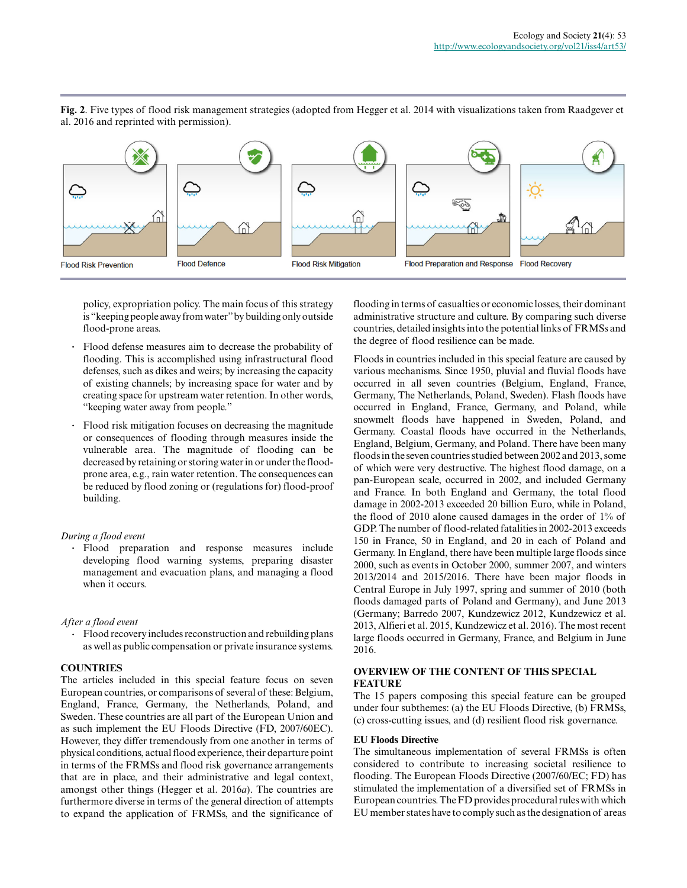**Fig. 2**. Five types of flood risk management strategies (adopted from Hegger et al. 2014 with visualizations taken from Raadgever et al. 2016 and reprinted with permission).



policy, expropriation policy. The main focus of this strategy is "keeping people away from water" by building only outside flood-prone areas.

- **.** Flood defense measures aim to decrease the probability of flooding. This is accomplished using infrastructural flood defenses, such as dikes and weirs; by increasing the capacity of existing channels; by increasing space for water and by creating space for upstream water retention. In other words, "keeping water away from people."
- **.** Flood risk mitigation focuses on decreasing the magnitude or consequences of flooding through measures inside the vulnerable area. The magnitude of flooding can be decreased by retaining or storing water in or under the floodprone area, e.g., rain water retention. The consequences can be reduced by flood zoning or (regulations for) flood-proof building.

#### *During a flood event*

**.** Flood preparation and response measures include developing flood warning systems, preparing disaster management and evacuation plans, and managing a flood when it occurs.

# *After a flood event*

**.** Flood recovery includes reconstruction and rebuilding plans as well as public compensation or private insurance systems.

# **COUNTRIES**

The articles included in this special feature focus on seven European countries, or comparisons of several of these: Belgium, England, France, Germany, the Netherlands, Poland, and Sweden. These countries are all part of the European Union and as such implement the EU Floods Directive (FD, 2007/60EC). However, they differ tremendously from one another in terms of physical conditions, actual flood experience, their departure point in terms of the FRMSs and flood risk governance arrangements that are in place, and their administrative and legal context, amongst other things (Hegger et al. 2016*a*). The countries are furthermore diverse in terms of the general direction of attempts to expand the application of FRMSs, and the significance of flooding in terms of casualties or economic losses, their dominant administrative structure and culture. By comparing such diverse countries, detailed insights into the potential links of FRMSs and the degree of flood resilience can be made.

Floods in countries included in this special feature are caused by various mechanisms. Since 1950, pluvial and fluvial floods have occurred in all seven countries (Belgium, England, France, Germany, The Netherlands, Poland, Sweden). Flash floods have occurred in England, France, Germany, and Poland, while snowmelt floods have happened in Sweden, Poland, and Germany. Coastal floods have occurred in the Netherlands, England, Belgium, Germany, and Poland. There have been many floods in the seven countries studied between 2002 and 2013, some of which were very destructive. The highest flood damage, on a pan-European scale, occurred in 2002, and included Germany and France. In both England and Germany, the total flood damage in 2002-2013 exceeded 20 billion Euro, while in Poland, the flood of 2010 alone caused damages in the order of 1% of GDP. The number of flood-related fatalities in 2002-2013 exceeds 150 in France, 50 in England, and 20 in each of Poland and Germany. In England, there have been multiple large floods since 2000, such as events in October 2000, summer 2007, and winters 2013/2014 and 2015/2016. There have been major floods in Central Europe in July 1997, spring and summer of 2010 (both floods damaged parts of Poland and Germany), and June 2013 (Germany; Barredo 2007, Kundzewicz 2012, Kundzewicz et al. 2013, Alfieri et al. 2015, Kundzewicz et al. 2016). The most recent large floods occurred in Germany, France, and Belgium in June 2016.

# **OVERVIEW OF THE CONTENT OF THIS SPECIAL FEATURE**

The 15 papers composing this special feature can be grouped under four subthemes: (a) the EU Floods Directive, (b) FRMSs, (c) cross-cutting issues, and (d) resilient flood risk governance.

## **EU Floods Directive**

The simultaneous implementation of several FRMSs is often considered to contribute to increasing societal resilience to flooding. The European Floods Directive (2007/60/EC; FD) has stimulated the implementation of a diversified set of FRMSs in European countries. The FD provides procedural rules with which EU member states have to comply such as the designation of areas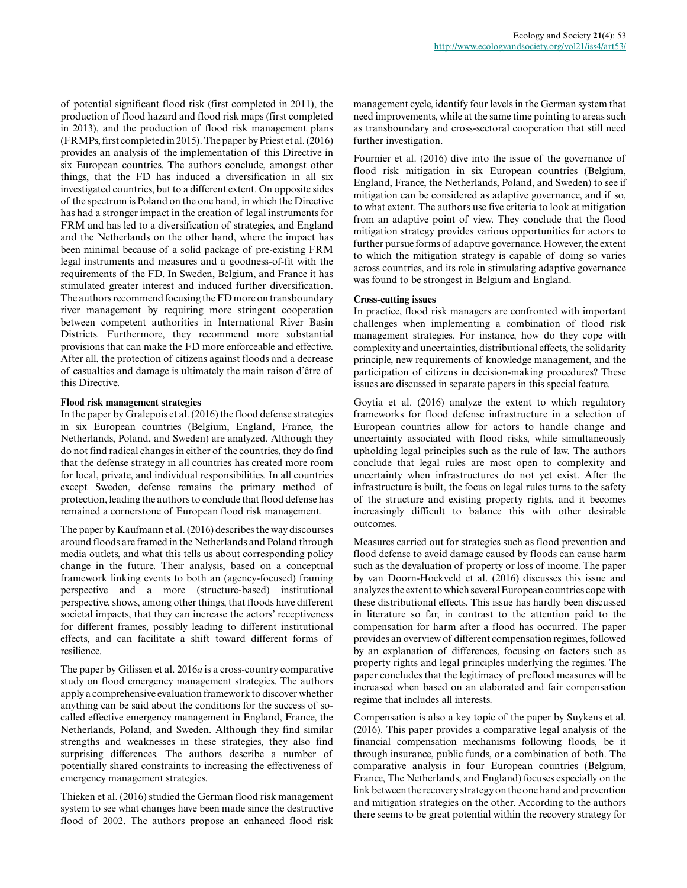of potential significant flood risk (first completed in 2011), the production of flood hazard and flood risk maps (first completed in 2013), and the production of flood risk management plans (FRMPs, first completed in 2015). The paper by Priest et al. (2016) provides an analysis of the implementation of this Directive in six European countries. The authors conclude, amongst other things, that the FD has induced a diversification in all six investigated countries, but to a different extent. On opposite sides of the spectrum is Poland on the one hand, in which the Directive has had a stronger impact in the creation of legal instruments for FRM and has led to a diversification of strategies, and England and the Netherlands on the other hand, where the impact has been minimal because of a solid package of pre-existing FRM legal instruments and measures and a goodness-of-fit with the requirements of the FD. In Sweden, Belgium, and France it has stimulated greater interest and induced further diversification. The authors recommend focusing the FD more on transboundary river management by requiring more stringent cooperation between competent authorities in International River Basin Districts. Furthermore, they recommend more substantial provisions that can make the FD more enforceable and effective. After all, the protection of citizens against floods and a decrease of casualties and damage is ultimately the main raison d'être of this Directive.

### **Flood risk management strategies**

In the paper by Gralepois et al. (2016) the flood defense strategies in six European countries (Belgium, England, France, the Netherlands, Poland, and Sweden) are analyzed. Although they do not find radical changes in either of the countries, they do find that the defense strategy in all countries has created more room for local, private, and individual responsibilities. In all countries except Sweden, defense remains the primary method of protection, leading the authors to conclude that flood defense has remained a cornerstone of European flood risk management.

The paper by Kaufmann et al. (2016) describes the way discourses around floods are framed in the Netherlands and Poland through media outlets, and what this tells us about corresponding policy change in the future. Their analysis, based on a conceptual framework linking events to both an (agency-focused) framing perspective and a more (structure-based) institutional perspective, shows, among other things, that floods have different societal impacts, that they can increase the actors' receptiveness for different frames, possibly leading to different institutional effects, and can facilitate a shift toward different forms of resilience.

The paper by Gilissen et al. 2016*a* is a cross-country comparative study on flood emergency management strategies. The authors apply a comprehensive evaluation framework to discover whether anything can be said about the conditions for the success of socalled effective emergency management in England, France, the Netherlands, Poland, and Sweden. Although they find similar strengths and weaknesses in these strategies, they also find surprising differences. The authors describe a number of potentially shared constraints to increasing the effectiveness of emergency management strategies.

Thieken et al. (2016) studied the German flood risk management system to see what changes have been made since the destructive flood of 2002. The authors propose an enhanced flood risk management cycle, identify four levels in the German system that need improvements, while at the same time pointing to areas such as transboundary and cross-sectoral cooperation that still need further investigation.

Fournier et al. (2016) dive into the issue of the governance of flood risk mitigation in six European countries (Belgium, England, France, the Netherlands, Poland, and Sweden) to see if mitigation can be considered as adaptive governance, and if so, to what extent. The authors use five criteria to look at mitigation from an adaptive point of view. They conclude that the flood mitigation strategy provides various opportunities for actors to further pursue forms of adaptive governance. However, the extent to which the mitigation strategy is capable of doing so varies across countries, and its role in stimulating adaptive governance was found to be strongest in Belgium and England.

### **Cross-cutting issues**

In practice, flood risk managers are confronted with important challenges when implementing a combination of flood risk management strategies. For instance, how do they cope with complexity and uncertainties, distributional effects, the solidarity principle, new requirements of knowledge management, and the participation of citizens in decision-making procedures? These issues are discussed in separate papers in this special feature.

Goytia et al. (2016) analyze the extent to which regulatory frameworks for flood defense infrastructure in a selection of European countries allow for actors to handle change and uncertainty associated with flood risks, while simultaneously upholding legal principles such as the rule of law. The authors conclude that legal rules are most open to complexity and uncertainty when infrastructures do not yet exist. After the infrastructure is built, the focus on legal rules turns to the safety of the structure and existing property rights, and it becomes increasingly difficult to balance this with other desirable outcomes.

Measures carried out for strategies such as flood prevention and flood defense to avoid damage caused by floods can cause harm such as the devaluation of property or loss of income. The paper by van Doorn-Hoekveld et al. (2016) discusses this issue and analyzes the extent to which several European countries cope with these distributional effects. This issue has hardly been discussed in literature so far, in contrast to the attention paid to the compensation for harm after a flood has occurred. The paper provides an overview of different compensation regimes, followed by an explanation of differences, focusing on factors such as property rights and legal principles underlying the regimes. The paper concludes that the legitimacy of preflood measures will be increased when based on an elaborated and fair compensation regime that includes all interests.

Compensation is also a key topic of the paper by Suykens et al. (2016). This paper provides a comparative legal analysis of the financial compensation mechanisms following floods, be it through insurance, public funds, or a combination of both. The comparative analysis in four European countries (Belgium, France, The Netherlands, and England) focuses especially on the link between the recovery strategy on the one hand and prevention and mitigation strategies on the other. According to the authors there seems to be great potential within the recovery strategy for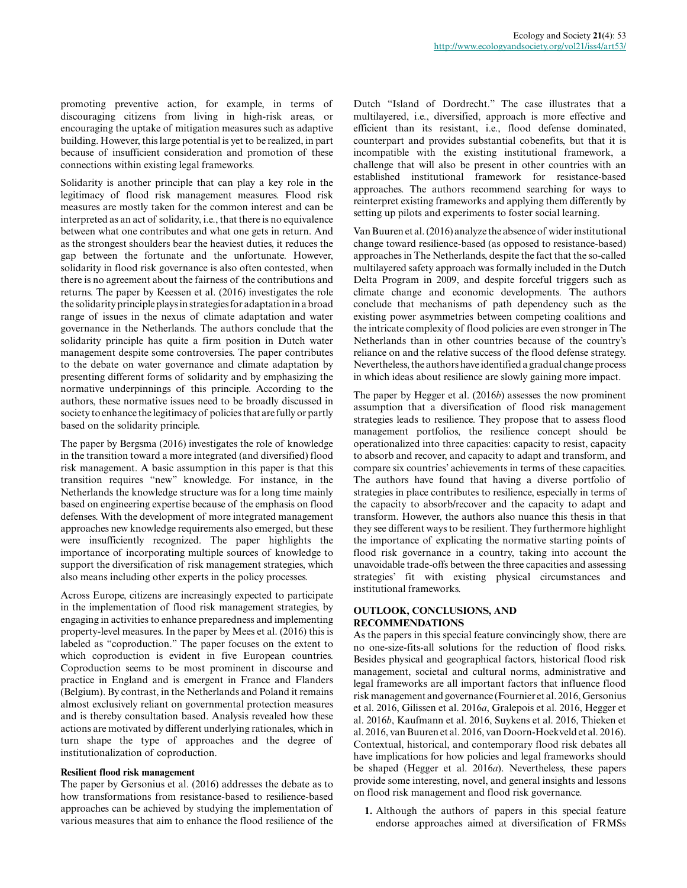promoting preventive action, for example, in terms of discouraging citizens from living in high-risk areas, or encouraging the uptake of mitigation measures such as adaptive building. However, this large potential is yet to be realized, in part because of insufficient consideration and promotion of these connections within existing legal frameworks.

Solidarity is another principle that can play a key role in the legitimacy of flood risk management measures. Flood risk measures are mostly taken for the common interest and can be interpreted as an act of solidarity, i.e., that there is no equivalence between what one contributes and what one gets in return. And as the strongest shoulders bear the heaviest duties, it reduces the gap between the fortunate and the unfortunate. However, solidarity in flood risk governance is also often contested, when there is no agreement about the fairness of the contributions and returns. The paper by Keessen et al. (2016) investigates the role the solidarity principle plays in strategies for adaptation in a broad range of issues in the nexus of climate adaptation and water governance in the Netherlands. The authors conclude that the solidarity principle has quite a firm position in Dutch water management despite some controversies. The paper contributes to the debate on water governance and climate adaptation by presenting different forms of solidarity and by emphasizing the normative underpinnings of this principle. According to the authors, these normative issues need to be broadly discussed in society to enhance the legitimacy of policies that are fully or partly based on the solidarity principle.

The paper by Bergsma (2016) investigates the role of knowledge in the transition toward a more integrated (and diversified) flood risk management. A basic assumption in this paper is that this transition requires "new" knowledge. For instance, in the Netherlands the knowledge structure was for a long time mainly based on engineering expertise because of the emphasis on flood defenses. With the development of more integrated management approaches new knowledge requirements also emerged, but these were insufficiently recognized. The paper highlights the importance of incorporating multiple sources of knowledge to support the diversification of risk management strategies, which also means including other experts in the policy processes.

Across Europe, citizens are increasingly expected to participate in the implementation of flood risk management strategies, by engaging in activities to enhance preparedness and implementing property-level measures. In the paper by Mees et al. (2016) this is labeled as "coproduction." The paper focuses on the extent to which coproduction is evident in five European countries. Coproduction seems to be most prominent in discourse and practice in England and is emergent in France and Flanders (Belgium). By contrast, in the Netherlands and Poland it remains almost exclusively reliant on governmental protection measures and is thereby consultation based. Analysis revealed how these actions are motivated by different underlying rationales, which in turn shape the type of approaches and the degree of institutionalization of coproduction.

#### **Resilient flood risk management**

The paper by Gersonius et al. (2016) addresses the debate as to how transformations from resistance-based to resilience-based approaches can be achieved by studying the implementation of various measures that aim to enhance the flood resilience of the Dutch "Island of Dordrecht." The case illustrates that a multilayered, i.e., diversified, approach is more effective and efficient than its resistant, i.e., flood defense dominated, counterpart and provides substantial cobenefits, but that it is incompatible with the existing institutional framework, a challenge that will also be present in other countries with an established institutional framework for resistance-based approaches. The authors recommend searching for ways to reinterpret existing frameworks and applying them differently by setting up pilots and experiments to foster social learning.

Van Buuren et al. (2016) analyze the absence of wider institutional change toward resilience-based (as opposed to resistance-based) approaches in The Netherlands, despite the fact that the so-called multilayered safety approach was formally included in the Dutch Delta Program in 2009, and despite forceful triggers such as climate change and economic developments. The authors conclude that mechanisms of path dependency such as the existing power asymmetries between competing coalitions and the intricate complexity of flood policies are even stronger in The Netherlands than in other countries because of the country's reliance on and the relative success of the flood defense strategy. Nevertheless, the authors have identified a gradual change process in which ideas about resilience are slowly gaining more impact.

The paper by Hegger et al. (2016*b*) assesses the now prominent assumption that a diversification of flood risk management strategies leads to resilience. They propose that to assess flood management portfolios, the resilience concept should be operationalized into three capacities: capacity to resist, capacity to absorb and recover, and capacity to adapt and transform, and compare six countries' achievements in terms of these capacities. The authors have found that having a diverse portfolio of strategies in place contributes to resilience, especially in terms of the capacity to absorb/recover and the capacity to adapt and transform. However, the authors also nuance this thesis in that they see different ways to be resilient. They furthermore highlight the importance of explicating the normative starting points of flood risk governance in a country, taking into account the unavoidable trade-offs between the three capacities and assessing strategies' fit with existing physical circumstances and institutional frameworks.

#### **OUTLOOK, CONCLUSIONS, AND RECOMMENDATIONS**

As the papers in this special feature convincingly show, there are no one-size-fits-all solutions for the reduction of flood risks. Besides physical and geographical factors, historical flood risk management, societal and cultural norms, administrative and legal frameworks are all important factors that influence flood risk management and governance (Fournier et al. 2016, Gersonius et al. 2016, Gilissen et al. 2016*a*, Gralepois et al. 2016, Hegger et al. 2016*b*, Kaufmann et al. 2016, Suykens et al. 2016, Thieken et al. 2016, van Buuren et al. 2016, van Doorn-Hoekveld et al. 2016). Contextual, historical, and contemporary flood risk debates all have implications for how policies and legal frameworks should be shaped (Hegger et al. 2016*a*). Nevertheless, these papers provide some interesting, novel, and general insights and lessons on flood risk management and flood risk governance.

**1.** Although the authors of papers in this special feature endorse approaches aimed at diversification of FRMSs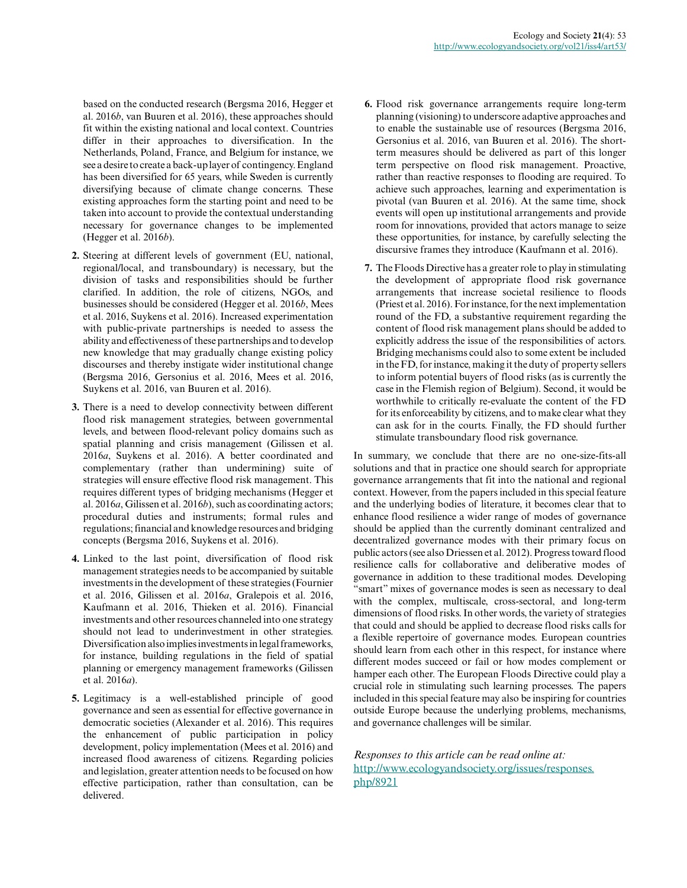based on the conducted research (Bergsma 2016, Hegger et al. 2016*b*, van Buuren et al. 2016), these approaches should fit within the existing national and local context. Countries differ in their approaches to diversification. In the Netherlands, Poland, France, and Belgium for instance, we see a desire to create a back-up layer of contingency. England has been diversified for 65 years, while Sweden is currently diversifying because of climate change concerns. These existing approaches form the starting point and need to be taken into account to provide the contextual understanding necessary for governance changes to be implemented (Hegger et al. 2016*b*).

- **2.** Steering at different levels of government (EU, national, regional/local, and transboundary) is necessary, but the division of tasks and responsibilities should be further clarified. In addition, the role of citizens, NGOs, and businesses should be considered (Hegger et al. 2016*b*, Mees et al. 2016, Suykens et al. 2016). Increased experimentation with public-private partnerships is needed to assess the ability and effectiveness of these partnerships and to develop new knowledge that may gradually change existing policy discourses and thereby instigate wider institutional change (Bergsma 2016, Gersonius et al. 2016, Mees et al. 2016, Suykens et al. 2016, van Buuren et al. 2016).
- **3.** There is a need to develop connectivity between different flood risk management strategies, between governmental levels, and between flood-relevant policy domains such as spatial planning and crisis management (Gilissen et al. 2016*a*, Suykens et al. 2016). A better coordinated and complementary (rather than undermining) suite of strategies will ensure effective flood risk management. This requires different types of bridging mechanisms (Hegger et al. 2016*a*, Gilissen et al. 2016*b*), such as coordinating actors; procedural duties and instruments; formal rules and regulations; financial and knowledge resources and bridging concepts (Bergsma 2016, Suykens et al. 2016).
- **4.** Linked to the last point, diversification of flood risk management strategies needs to be accompanied by suitable investments in the development of these strategies (Fournier et al. 2016, Gilissen et al. 2016*a*, Gralepois et al. 2016, Kaufmann et al. 2016, Thieken et al. 2016). Financial investments and other resources channeled into one strategy should not lead to underinvestment in other strategies. Diversification also implies investments in legal frameworks, for instance, building regulations in the field of spatial planning or emergency management frameworks (Gilissen et al. 2016*a*).
- **5.** Legitimacy is a well-established principle of good governance and seen as essential for effective governance in democratic societies (Alexander et al. 2016). This requires the enhancement of public participation in policy development, policy implementation (Mees et al. 2016) and increased flood awareness of citizens. Regarding policies and legislation, greater attention needs to be focused on how effective participation, rather than consultation, can be delivered.
- **6.** Flood risk governance arrangements require long-term planning (visioning) to underscore adaptive approaches and to enable the sustainable use of resources (Bergsma 2016, Gersonius et al. 2016, van Buuren et al. 2016). The shortterm measures should be delivered as part of this longer term perspective on flood risk management. Proactive, rather than reactive responses to flooding are required. To achieve such approaches, learning and experimentation is pivotal (van Buuren et al. 2016). At the same time, shock events will open up institutional arrangements and provide room for innovations, provided that actors manage to seize these opportunities, for instance, by carefully selecting the discursive frames they introduce (Kaufmann et al. 2016).
- **7.** The Floods Directive has a greater role to play in stimulating the development of appropriate flood risk governance arrangements that increase societal resilience to floods (Priest et al. 2016). For instance, for the next implementation round of the FD, a substantive requirement regarding the content of flood risk management plans should be added to explicitly address the issue of the responsibilities of actors. Bridging mechanisms could also to some extent be included in the FD, for instance, making it the duty of property sellers to inform potential buyers of flood risks (as is currently the case in the Flemish region of Belgium). Second, it would be worthwhile to critically re-evaluate the content of the FD for its enforceability by citizens, and to make clear what they can ask for in the courts. Finally, the FD should further stimulate transboundary flood risk governance.

In summary, we conclude that there are no one-size-fits-all solutions and that in practice one should search for appropriate governance arrangements that fit into the national and regional context. However, from the papers included in this special feature and the underlying bodies of literature, it becomes clear that to enhance flood resilience a wider range of modes of governance should be applied than the currently dominant centralized and decentralized governance modes with their primary focus on public actors (see also Driessen et al. 2012). Progress toward flood resilience calls for collaborative and deliberative modes of governance in addition to these traditional modes. Developing "smart" mixes of governance modes is seen as necessary to deal with the complex, multiscale, cross-sectoral, and long-term dimensions of flood risks. In other words, the variety of strategies that could and should be applied to decrease flood risks calls for a flexible repertoire of governance modes. European countries should learn from each other in this respect, for instance where different modes succeed or fail or how modes complement or hamper each other. The European Floods Directive could play a crucial role in stimulating such learning processes. The papers included in this special feature may also be inspiring for countries outside Europe because the underlying problems, mechanisms, and governance challenges will be similar.

*Responses to this article can be read online at:* [http://www.ecologyandsociety.org/issues/responses.](http://www.ecologyandsociety.org/issues/responses.php/8921) [php/8921](http://www.ecologyandsociety.org/issues/responses.php/8921)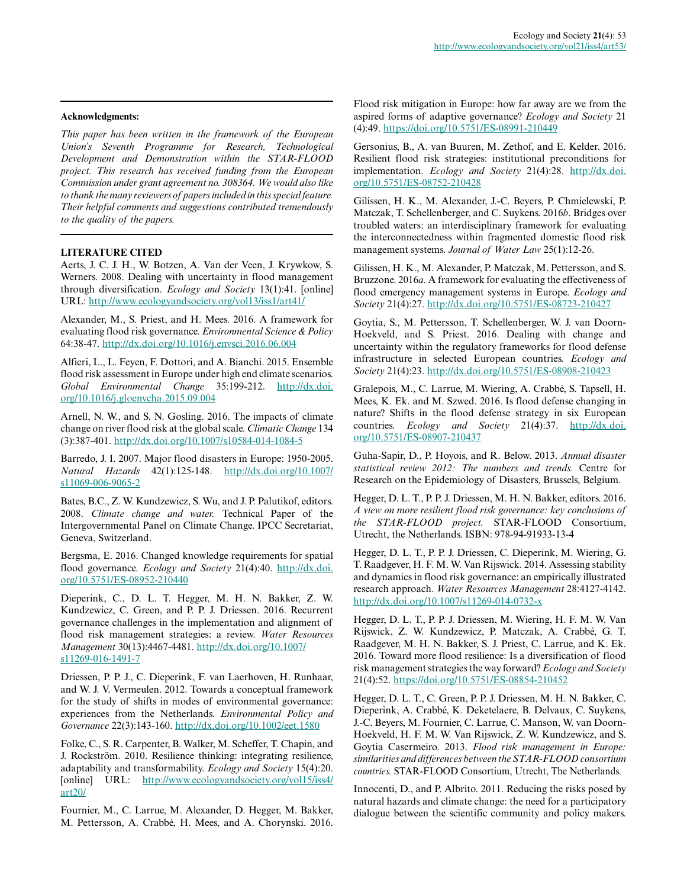*This paper has been written in the framework of the European Union's Seventh Programme for Research, Technological Development and Demonstration within the STAR-FLOOD project. This research has received funding from the European Commission under grant agreement no. 308364. We would also like to thank the many reviewers of papers included in this special feature. Their helpful comments and suggestions contributed tremendously to the quality of the papers.*

#### **LITERATURE CITED**

Aerts, J. C. J. H., W. Botzen, A. Van der Veen, J. Krywkow, S. Werners. 2008. Dealing with uncertainty in flood management through diversification. *Ecology and Society* 13(1):41. [online] URL:<http://www.ecologyandsociety.org/vol13/iss1/art41/>

Alexander, M., S. Priest, and H. Mees. 2016. A framework for evaluating flood risk governance. *Environmental Science & Policy* 64:38-47. [http://dx.doi.org/10.1016/j.envsci.2016.06.004](http://dx.doi.org/10.1016%2Fj.envsci.2016.06.004)

Alfieri, L., L. Feyen, F. Dottori, and A. Bianchi. 2015. Ensemble flood risk assessment in Europe under high end climate scenarios. *Global Environmental Change* 35:199-212. [http://dx.doi.](http://dx.doi.org/10.1016%2Fj.gloenvcha.2015.09.004) [org/10.1016/j.gloenvcha.2015.09.004](http://dx.doi.org/10.1016%2Fj.gloenvcha.2015.09.004)

Arnell, N. W., and S. N. Gosling. 2016. The impacts of climate change on river flood risk at the global scale. *Climatic Change* 134 (3):387-401. [http://dx.doi.org/10.1007/s10584-014-1084-5](http://dx.doi.org/10.1007%2Fs10584-014-1084-5) 

Barredo, J. I. 2007. Major flood disasters in Europe: 1950-2005. *Natural Hazards* 42(1):125-148. [http://dx.doi.org/10.1007/](http://dx.doi.org/10.1007%2Fs11069-006-9065-2) [s11069-006-9065-2](http://dx.doi.org/10.1007%2Fs11069-006-9065-2) 

Bates, B.C., Z. W. Kundzewicz, S. Wu, and J. P. Palutikof, editors. 2008. *Climate change and water.* Technical Paper of the Intergovernmental Panel on Climate Change. IPCC Secretariat, Geneva, Switzerland.

Bergsma, E. 2016. Changed knowledge requirements for spatial flood governance. *Ecology and Society* 21(4):40. [http://dx.doi.](http://dx.doi.org/10.5751/ES-08952-210440) [org/10.5751/ES-08952-210440](http://dx.doi.org/10.5751/ES-08952-210440) 

Dieperink, C., D. L. T. Hegger, M. H. N. Bakker, Z. W. Kundzewicz, C. Green, and P. P. J. Driessen. 2016. Recurrent governance challenges in the implementation and alignment of flood risk management strategies: a review. *Water Resources Management* 30(13):4467-4481. [http://dx.doi.org/10.1007/](http://dx.doi.org/10.1007/s11269-016-1491-7) [s11269-016-1491-7](http://dx.doi.org/10.1007/s11269-016-1491-7) 

Driessen, P. P. J., C. Dieperink, F. van Laerhoven, H. Runhaar, and W. J. V. Vermeulen. 2012. Towards a conceptual framework for the study of shifts in modes of environmental governance: experiences from the Netherlands. *Environmental Policy and Governance* 22(3):143-160. [http://dx.doi.org/10.1002/eet.1580](http://dx.doi.org/10.1002%2Feet.1580) 

Folke, C., S. R. Carpenter, B. Walker, M. Scheffer, T. Chapin, and J. Rockström. 2010. Resilience thinking: integrating resilience, adaptability and transformability. *Ecology and Society* 15(4):20. [online] URL: [http://www.ecologyandsociety.org/vol15/iss4/](http://www.ecologyandsociety.org/vol15/iss4/art20/) [art20/](http://www.ecologyandsociety.org/vol15/iss4/art20/)

Fournier, M., C. Larrue, M. Alexander, D. Hegger, M. Bakker, M. Pettersson, A. Crabbé, H. Mees, and A. Chorynski. 2016. Flood risk mitigation in Europe: how far away are we from the aspired forms of adaptive governance? *Ecology and Society* 21 (4):49. <https://doi.org/10.5751/ES-08991-210449>

Gersonius, B., A. van Buuren, M. Zethof, and E. Kelder. 2016. Resilient flood risk strategies: institutional preconditions for implementation. *Ecology and Society* 21(4):28. [http://dx.doi.](http://dx.doi.org/10.5751/ES-08752-210428) [org/10.5751/ES-08752-210428](http://dx.doi.org/10.5751/ES-08752-210428) 

Gilissen, H. K., M. Alexander, J.-C. Beyers, P. Chmielewski, P. Matczak, T. Schellenberger, and C. Suykens. 2016*b*. Bridges over troubled waters: an interdisciplinary framework for evaluating the interconnectedness within fragmented domestic flood risk management systems. *Journal of Water Law* 25(1):12-26.

Gilissen, H. K., M. Alexander, P. Matczak, M. Pettersson, and S. Bruzzone. 2016*a*. A framework for evaluating the effectiveness of flood emergency management systems in Europe. *Ecology and Society* 21(4):27. <http://dx.doi.org/10.5751/ES-08723-210427>

Goytia, S., M. Pettersson, T. Schellenberger, W. J. van Doorn-Hoekveld, and S. Priest. 2016. Dealing with change and uncertainty within the regulatory frameworks for flood defense infrastructure in selected European countries. *Ecology and Society* 21(4):23. <http://dx.doi.org/10.5751/ES-08908-210423>

Gralepois, M., C. Larrue, M. Wiering, A. Crabbé, S. Tapsell, H. Mees, K. Ek. and M. Szwed. 2016. Is flood defense changing in nature? Shifts in the flood defense strategy in six European countries. *Ecology and Society* 21(4):37. [http://dx.doi.](http://dx.doi.org/10.5751/ES-08907-210437) [org/10.5751/ES-08907-210437](http://dx.doi.org/10.5751/ES-08907-210437) 

Guha-Sapir, D., P. Hoyois, and R. Below. 2013. *Annual disaster statistical review 2012: The numbers and trends.* Centre for Research on the Epidemiology of Disasters, Brussels, Belgium.

Hegger, D. L. T., P. P. J. Driessen, M. H. N. Bakker, editors. 2016. *A view on more resilient flood risk governance: key conclusions of the STAR-FLOOD project.* STAR-FLOOD Consortium, Utrecht, the Netherlands. ISBN: 978-94-91933-13-4

Hegger, D. L. T., P. P. J. Driessen, C. Dieperink, M. Wiering, G. T. Raadgever, H. F. M. W. Van Rijswick. 2014. Assessing stability and dynamics in flood risk governance: an empirically illustrated research approach. *Water Resources Management* 28:4127-4142. [http://dx.doi.org/10.1007/s11269-014-0732-x](http://dx.doi.org/10.1007%2Fs11269-014-0732-x)

Hegger, D. L. T., P. P. J. Driessen, M. Wiering, H. F. M. W. Van Rijswick, Z. W. Kundzewicz, P. Matczak, A. Crabbé, G. T. Raadgever, M. H. N. Bakker, S. J. Priest, C. Larrue, and K. Ek. 2016. Toward more flood resilience: Is a diversification of flood risk management strategies the way forward? *Ecology and Society* 21(4):52. <https://doi.org/10.5751/ES-08854-210452>

Hegger, D. L. T., C. Green, P. P. J. Driessen, M. H. N. Bakker, C. Dieperink, A. Crabbé, K. Deketelaere, B. Delvaux, C. Suykens, J.-C. Beyers, M. Fournier, C. Larrue, C. Manson, W. van Doorn-Hoekveld, H. F. M. W. Van Rijswick, Z. W. Kundzewicz, and S. Goytia Casermeiro. 2013. *Flood risk management in Europe: similarities and differences between the STAR-FLOOD consortium countries.* STAR-FLOOD Consortium, Utrecht, The Netherlands.

Innocenti, D., and P. Albrito. 2011. Reducing the risks posed by natural hazards and climate change: the need for a participatory dialogue between the scientific community and policy makers.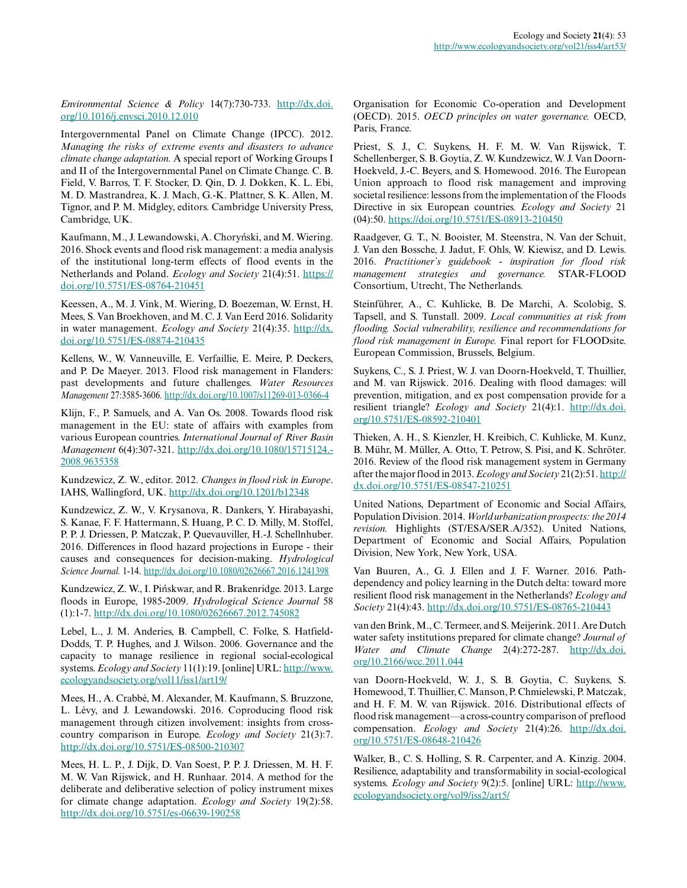*Environmental Science & Policy* 14(7):730-733. [http://dx.doi.](http://dx.doi.org/10.1016%2Fj.envsci.2010.12.010) [org/10.1016/j.envsci.2010.12.010](http://dx.doi.org/10.1016%2Fj.envsci.2010.12.010) 

Intergovernmental Panel on Climate Change (IPCC). 2012. *Managing the risks of extreme events and disasters to advance climate change adaptation.* A special report of Working Groups I and II of the Intergovernmental Panel on Climate Change. C. B. Field, V. Barros, T. F. Stocker, D. Qin, D. J. Dokken, K. L. Ebi, M. D. Mastrandrea, K. J. Mach, G.-K. Plattner, S. K. Allen, M. Tignor, and P. M. Midgley, editors. Cambridge University Press, Cambridge, UK.

Kaufmann, M., J. Lewandowski, A. Choryński, and M. Wiering. 2016. Shock events and flood risk management: a media analysis of the institutional long-term effects of flood events in the Netherlands and Poland. *Ecology and Society* 21(4):51. [https://](https://doi.org/10.5751/ES-08764-210451) [doi.org/10.5751/ES-08764-210451](https://doi.org/10.5751/ES-08764-210451)

Keessen, A., M. J. Vink, M. Wiering, D. Boezeman, W. Ernst, H. Mees, S. Van Broekhoven, and M. C. J. Van Eerd 2016. Solidarity in water management. *Ecology and Society* 21(4):35. [http://dx.](http://dx.doi.org/10.5751/ES-08874-210435) [doi.org/10.5751/ES-08874-210435](http://dx.doi.org/10.5751/ES-08874-210435)

Kellens, W., W. Vanneuville, E. Verfaillie, E. Meire, P. Deckers, and P. De Maeyer. 2013. Flood risk management in Flanders: past developments and future challenges. *Water Resources Management* 27:3585-3606. [http://dx.doi.org/10.1007/s11269-013-0366-4](http://dx.doi.org/10.1007%2Fs11269-013-0366-4)

Klijn, F., P. Samuels, and A. Van Os. 2008. Towards flood risk management in the EU: state of affairs with examples from various European countries. *International Journal of River Basin Management* 6(4):307-321. [http://dx.doi.org/10.1080/15715124.](http://dx.doi.org/10.1080%2F15715124.2008.9635358) [2008.9635358](http://dx.doi.org/10.1080%2F15715124.2008.9635358) 

Kundzewicz, Z. W., editor. 2012. *Changes in flood risk in Europe*. IAHS, Wallingford, UK. [http://dx.doi.org/10.1201/b12348](http://dx.doi.org/10.1201%2Fb12348)

Kundzewicz, Z. W., V. Krysanova, R. Dankers, Y. Hirabayashi, S. Kanae, F. F. Hattermann, S. Huang, P. C. D. Milly, M. Stoffel, P. P. J. Driessen, P. Matczak, P. Quevauviller, H.-J. Schellnhuber. 2016. Differences in flood hazard projections in Europe - their causes and consequences for decision-making. *Hydrological Science Journal.* 1-14. [http://dx.doi.org/10.1080/02626667.2016.1241398](http://dx.doi.org/10.1080%2F02626667.2016.1241398)

Kundzewicz, Z. W., I. Pińskwar, and R. Brakenridge. 2013. Large floods in Europe, 1985-2009. *Hydrological Science Journal* 58 (1):1-7. [http://dx.doi.org/10.1080/02626667.2012.745082](http://dx.doi.org/10.1080%2F02626667.2012.745082) 

Lebel, L., J. M. Anderies, B. Campbell, C. Folke, S. Hatfield-Dodds, T. P. Hughes, and J. Wilson. 2006. Governance and the capacity to manage resilience in regional social-ecological systems. *Ecology and Society* 11(1):19. [online] URL: [http://www.](http://www.ecologyandsociety.org/vol11/iss1/art19/) [ecologyandsociety.org/vol11/iss1/art19/](http://www.ecologyandsociety.org/vol11/iss1/art19/)

Mees, H., A. Crabbé, M. Alexander, M. Kaufmann, S. Bruzzone, L. Lévy, and J. Lewandowski. 2016. Coproducing flood risk management through citizen involvement: insights from crosscountry comparison in Europe. *Ecology and Society* 21(3):7. <http://dx.doi.org/10.5751/ES-08500-210307>

Mees, H. L. P., J. Dijk, D. Van Soest, P. P. J. Driessen, M. H. F. M. W. Van Rijswick, and H. Runhaar. 2014. A method for the deliberate and deliberative selection of policy instrument mixes for climate change adaptation. *Ecology and Society* 19(2):58. [http://dx.doi.org/10.5751/es-06639-190258](http://dx.doi.org/10.5751%2Fes-06639-190258)

Organisation for Economic Co-operation and Development (OECD). 2015. *OECD principles on water governance.* OECD, Paris, France.

Priest, S. J., C. Suykens, H. F. M. W. Van Rijswick, T. Schellenberger, S. B. Goytia, Z. W. Kundzewicz, W. J. Van Doorn-Hoekveld, J.-C. Beyers, and S. Homewood. 2016. The European Union approach to flood risk management and improving societal resilience: lessons from the implementation of the Floods Directive in six European countries. *Ecology and Society* 21 (04):50.<https://doi.org/10.5751/ES-08913-210450>

Raadgever, G. T., N. Booister, M. Steenstra, N. Van der Schuit, J. Van den Bossche, J. Jadut, F. Ohls, W. Kiewisz, and D. Lewis. 2016. *Practitioner's guidebook - inspiration for flood risk management strategies and governance.* STAR-FLOOD Consortium, Utrecht, The Netherlands.

Steinführer, A., C. Kuhlicke, B. De Marchi, A. Scolobig, S. Tapsell, and S. Tunstall. 2009. *Local communities at risk from flooding. Social vulnerability, resilience and recommendations for flood risk management in Europe.* Final report for FLOODsite. European Commission, Brussels, Belgium.

Suykens, C., S. J. Priest, W. J. van Doorn-Hoekveld, T. Thuillier, and M. van Rijswick. 2016. Dealing with flood damages: will prevention, mitigation, and ex post compensation provide for a resilient triangle? *Ecology and Society* 21(4):1. [http://dx.doi.](http://dx.doi.org/10.5751/ES-08592-210401) [org/10.5751/ES-08592-210401](http://dx.doi.org/10.5751/ES-08592-210401) 

Thieken, A. H., S. Kienzler, H. Kreibich, C. Kuhlicke, M. Kunz, B. Mühr, M. Müller, A. Otto, T. Petrow, S. Pisi, and K. Schröter. 2016. Review of the flood risk management system in Germany after the major flood in 2013. *Ecology and Society* 21(2):51. [http://](http://dx.doi.org/10.5751/ES-08547-210251) [dx.doi.org/10.5751/ES-08547-210251](http://dx.doi.org/10.5751/ES-08547-210251)

United Nations, Department of Economic and Social Affairs, Population Division. 2014. *World urbanization prospects: the 2014 revision.* Highlights (ST/ESA/SER.A/352). United Nations, Department of Economic and Social Affairs, Population Division, New York, New York, USA.

Van Buuren, A., G. J. Ellen and J. F. Warner. 2016. Pathdependency and policy learning in the Dutch delta: toward more resilient flood risk management in the Netherlands? *Ecology and Society* 21(4):43. <http://dx.doi.org/10.5751/ES-08765-210443>

van den Brink, M., C. Termeer, and S. Meijerink. 2011. Are Dutch water safety institutions prepared for climate change? *Journal of* Water and Climate Change 2(4):272-287. [http://dx.doi.](http://dx.doi.org/10.2166%2Fwcc.2011.044) [org/10.2166/wcc.2011.044](http://dx.doi.org/10.2166%2Fwcc.2011.044) 

van Doorn-Hoekveld, W. J., S. B. Goytia, C. Suykens, S. Homewood, T. Thuillier, C. Manson, P. Chmielewski, P. Matczak, and H. F. M. W. van Rijswick. 2016. Distributional effects of flood risk management—a cross-country comparison of preflood compensation. *Ecology and Society* 21(4):26. [http://dx.doi.](http://dx.doi.org/10.5751/ES-08648-210426) [org/10.5751/ES-08648-210426](http://dx.doi.org/10.5751/ES-08648-210426) 

Walker, B., C. S. Holling, S. R. Carpenter, and A. Kinzig. 2004. Resilience, adaptability and transformability in social-ecological systems. *Ecology and Society* 9(2):5. [online] URL: [http://www.](http://www.ecologyandsociety.org/vol9/iss2/art5/) [ecologyandsociety.org/vol9/iss2/art5/](http://www.ecologyandsociety.org/vol9/iss2/art5/)